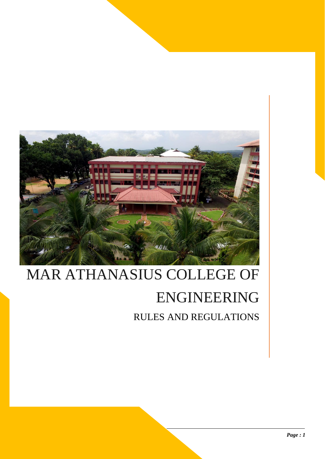

# MAR ATHANASIUS COLLEGE OF ENGINEERING RULES AND REGULATIONS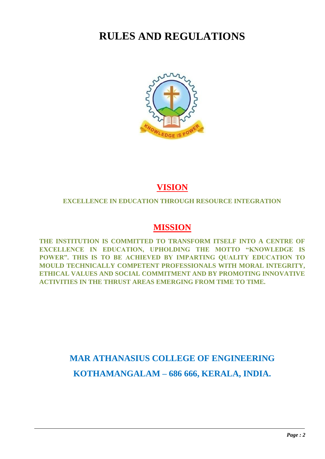## **RULES AND REGULATIONS**



## **VISION**

### **EXCELLENCE IN EDUCATION THROUGH RESOURCE INTEGRATION**

## **MISSION**

**THE INSTITUTION IS COMMITTED TO TRANSFORM ITSELF INTO A CENTRE OF EXCELLENCE IN EDUCATION, UPHOLDING THE MOTTO "KNOWLEDGE IS POWER". THIS IS TO BE ACHIEVED BY IMPARTING QUALITY EDUCATION TO MOULD TECHNICALLY COMPETENT PROFESSIONALS WITH MORAL INTEGRITY, ETHICAL VALUES AND SOCIAL COMMITMENT AND BY PROMOTING INNOVATIVE ACTIVITIES IN THE THRUST AREAS EMERGING FROM TIME TO TIME.**

## **MAR ATHANASIUS COLLEGE OF ENGINEERING KOTHAMANGALAM – 686 666, KERALA, INDIA.**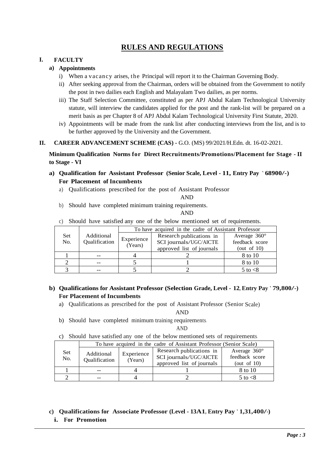### **RULES AND REGULATIONS**

#### **I. FACULTY**

#### **a) Appointments**

- i) When a vacancy arises, the Principal will report it to the Chairman Governing Body.
- ii) After seeking approval from the Chairman, orders will be obtained from the Government to notify the post in two dailies each English and Malayalam Two dailies, as per norms.
- iii) The Staff Selection Committee, constituted as per APJ Abdul Kalam Technological University statute, will interview the candidates applied for the post and the rank-list will be prepared on a merit basis as per Chapter 8 of APJ Abdul Kalam Technological University First Statute, 2020.
- iv) Appointments will be made from the rank list after conducting interviews from the list, and is to be further approved by the University and the Government.

**II. CAREER ADVANCEMENT SCHEME (CAS) -** G.O. (MS) 99/2021/H.Edn. dt. 16-02-2021.

**Minimum Qualification Norms for Direct Recruitments/Promotions/Placement for Stage - II to Stage - VI** 

- **a) Qualification for Assistant Professor (Senior Scale, Level - 11, Entry Pay ` 68900/-) For Placement of Incumbents**
	- a) Qualifications prescribed for the post of Assistant Professor

AND

b) Should have completed minimum training requirements.

#### AND

c) Should have satisfied any one of the below mentioned set of requirements.

|             | Additional<br>Qualification | To have acquired in the cadre of Assistant Professor |                                                                                 |                                                         |  |
|-------------|-----------------------------|------------------------------------------------------|---------------------------------------------------------------------------------|---------------------------------------------------------|--|
| Set.<br>No. |                             | Experience<br>(Years)                                | Research publications in<br>SCI journals/UGC/AICTE<br>approved list of journals | Average $360^\circ$<br>feedback score<br>(out of $10$ ) |  |
|             | $- -$                       |                                                      |                                                                                 | 8 to 10                                                 |  |
|             |                             |                                                      |                                                                                 | 8 to 10                                                 |  |
|             |                             |                                                      |                                                                                 | $5$ to $< 8$                                            |  |

#### **b) Qualifications for Assistant Professor (Selection Grade, Level - 12, Entry Pay ` 79,800/-) For Placement of Incumbents**

a) Qualifications as prescribed for the post of Assistant Professor (Senior Scale)

AND

b) Should have completed minimum training requirements.

AND

c) Should have satisfied any one of the below mentioned sets of requirements.

|                   | To have acquired in the cadre of Assistant Professor (Senior Scale) |                       |                           |                     |  |
|-------------------|---------------------------------------------------------------------|-----------------------|---------------------------|---------------------|--|
| <b>Set</b><br>No. | Additional<br>Qualification                                         | Experience<br>(Years) | Research publications in  | Average $360^\circ$ |  |
|                   |                                                                     |                       | SCI journals/UGC/AICTE    | feedback score      |  |
|                   |                                                                     |                       | approved list of journals | (out of $10$ )      |  |
|                   |                                                                     |                       |                           | 8 to 10             |  |
|                   |                                                                     |                       |                           | $5$ to $< 8$        |  |

## **c) Qualifications for Associate Professor (Level - 13A1, Entry Pay ` 1,31,400/-)**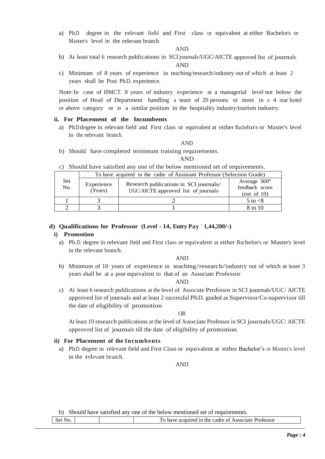a) Ph.D. degree in the relevant field and First class or equivalent at either Bachelor's or Master's level in the relevant branch

#### AND

- b) At least total 6 research publications in SCI journals/UGC/AICTE approved list of journals. AND
- c) Minimum of 8 years of experience in teaching/research/industry out of which at least 2 years shall be Post Ph.D. experience.

Note:In case of HMCT, 8 years of industry experience at a managerial level not below the position of Head of Department handling a team of 20 persons or more in a 4 star hotel or above category or in a similar position in the hospitality industry/tourism industry.

#### **ii. For Placement of the Incumbents**

a) Ph.D. degree in relevant field and First class or equivalent at either Bachelor's or Master's level in the relevant branch..

AND

b) Should have completed minimum training requirements.

AND

c) Should have satisfied any one of the below mentioned set of requirements.

|                   | To have acquired in the cadre of Assistant Professor (Selection Grade) |                                                                               |                                                         |  |  |
|-------------------|------------------------------------------------------------------------|-------------------------------------------------------------------------------|---------------------------------------------------------|--|--|
| <b>Set</b><br>No. | Experience<br>(Years)                                                  | Research publications in SCI journals/<br>UGC/AICTE approved list of journals | Average $360^\circ$<br>feedback score<br>(out of $10$ ) |  |  |
|                   |                                                                        |                                                                               | 5 to $< 8$                                              |  |  |
|                   |                                                                        |                                                                               | 8 to 10                                                 |  |  |

#### **d) Qualifications for Professor (Level - 14, Entry Pay ` 1,44,200/-)**

#### **i) Promotion**

a) Ph.D. degree in relevant field and First class or equivalent at either Bachelor's or Master's level in the relevant branch.

AND

b) Minimum of <sup>10</sup> years of experience in teaching/research/industry out of which at least <sup>3</sup> years shall be at a post equivalent to that of an Associate Professor.

#### AND

c) At least 6 research publications at the level of Associate Professor in SCI journals/UGC/ AICTE approved list of journals and at least 2 successful Ph.D. guided as Supervisor/Co-supervisor till the date of eligibility of promotion.

OR

At least 10 research publications at the level of Associate Professor in SCI journals/UGC/ AICTE approved list of journals till the date of eligibility of promotion.

#### **ii) For Placement of the Incumbents**

a) Ph.D. degree in relevant field and First Class or equivalent at either Bachelor's or Master's level in the relevant branch.

AND

b) Should have satisfied any one of the below mentioned set of requirements.

|  | $\sim$<br>Professor<br>the cadre of Associate<br>acquired in<br>nave |
|--|----------------------------------------------------------------------|
|  |                                                                      |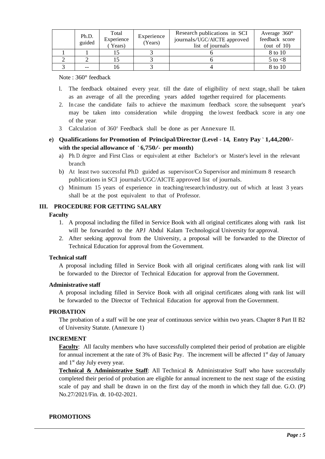| Ph.D.<br>guided | Total<br>Experience<br>Years) | Experience<br>(Years) | Research publications in SCI<br>journals/UGC/AICTE approved<br>list of journals | Average $360^\circ$<br>feedback score<br>(out of $10$ ) |
|-----------------|-------------------------------|-----------------------|---------------------------------------------------------------------------------|---------------------------------------------------------|
|                 |                               |                       |                                                                                 | 8 to 10                                                 |
|                 |                               |                       |                                                                                 | $5$ to $< 8$                                            |
| $- -$           |                               |                       |                                                                                 | 8 to 10                                                 |

Note : 360° feedback

- l. The feedback obtained every year, till the date of eligibility of next stage, shall be taken as an average of all the preceding years added together required for placements.
- 2. In case the candidate fails to achieve the maximum feedback score, the subsequent year's may be taken into consideration while dropping the lowest feedback score in any one of the year.
- 3. Calculation of 360° Feedback shall be done as per Annexure II.
- **e) Qualifications for Promotion of Principal/Director (Level - 14, Entry Pay ` 1,44,200/ with the special allowance of ` 6,750/- per month)**
	- a) Ph. D. degree and First Class or equivalent at either Bachelor's or Master's level in the relevant branch
	- b) At least two successful Ph.D. guided as supervisor/Co Supervisor and minimum 8 research publications in SCI journals/UGC/AICTE approved list of journals.
	- c) Minimum 15 years of experience in teaching/research/industry, out of which at least 3 years shall be at the post equivalent to that of Professor.

#### **III. PROCEDURE FOR GETTING SALARY**

#### **Faculty**

- 1. A proposal including the filled in Service Book with all original certificates along with rank list will be forwarded to the APJ Abdul Kalam Technological University for approval.
- 2. After seeking approval from the University, a proposal will be forwarded to the Director of Technical Education for approval from the Government.

#### **Technical staff**

A proposal including filled in Service Book with all original certificates along with rank list will be forwarded to the Director of Technical Education for approval from the Government.

#### **Administrative staff**

A proposal including filled in Service Book with all original certificates along with rank list will be forwarded to the Director of Technical Education for approval from the Government.

#### **PROBATION**

The probation of a staff will be one year of continuous service within two years. Chapter 8 Part II B2 of University Statute. (Annexure 1)

#### **INCREMENT**

**Faculty**: All faculty members who have successfully completed their period of probation are eligible for annual increment at the rate of 3% of Basic Pay. The increment will be affected 1<sup>st</sup> day of January and  $1<sup>st</sup>$  day July every year.

**Technical & Administrative Staff**: All Technical & Administrative Staff who have successfully completed their period of probation are eligible for annual increment to the next stage of the existing scale of pay and shall be drawn in on the first day of the month in which they fall due. G.O. (P) No.27/2021/Fin. dt. 10-02-2021.

#### **PROMOTIONS**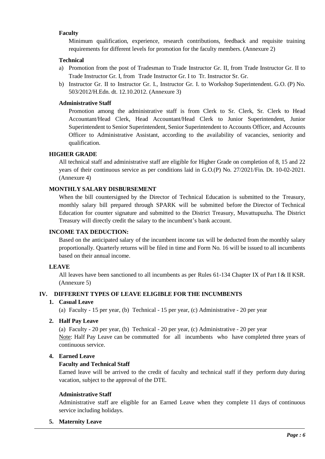#### **Faculty**

Minimum qualification, experience, research contributions, feedback and requisite training requirements for different levels for promotion for the faculty members. (Annexure 2)

#### **Technical**

- a) Promotion from the post of Tradesman to Trade Instructor Gr. II, from Trade Instructor Gr. II to Trade Instructor Gr. I, from Trade Instructor Gr. I to Tr. Instructor Sr. Gr.
- b) Instructor Gr. II to Instructor Gr. I., Instructor Gr. I. to Workshop Superintendent. G.O. (P) No. 503/2012/H.Edn. dt. 12.10.2012. (Annexure 3)

#### **Administrative Staff**

Promotion among the administrative staff is from Clerk to Sr. Clerk, Sr. Clerk to Head Accountant/Head Clerk, Head Accountant/Head Clerk to Junior Superintendent, Junior Superintendent to Senior Superintendent, Senior Superintendent to Accounts Officer, and Accounts Officer to Administrative Assistant, according to the availability of vacancies, seniority and qualification.

#### **HIGHER GRADE**

All technical staff and administrative staff are eligible for Higher Grade on completion of 8, 15 and 22 years of their continuous service as per conditions laid in G.O.(P) No. 27/2021/Fin. Dt. 10-02-2021. (Annexure 4)

#### **MONTHLY SALARY DISBURSEMENT**

When the bill countersigned by the Director of Technical Education is submitted to the Treasury, monthly salary bill prepared through SPARK will be submitted before the Director of Technical Education for counter signature and submitted to the District Treasury, Muvattupuzha. The District Treasury will directly credit the salary to the incumbent's bank account.

#### **INCOME TAX DEDUCTION:**

Based on the anticipated salary of the incumbent income tax will be deducted from the monthly salary proportionally. Quarterly returns will be filed in time and Form No. 16 will be issued to all incumbents based on their annual income.

#### **LEAVE**

All leaves have been sanctioned to all incumbents as per Rules 61-134 Chapter IX of Part I & II KSR. (Annexure 5)

#### **IV. DIFFERENT TYPES OF LEAVE ELIGIBLE FOR THE INCUMBENTS**

#### **1. Casual Leave**

(a) Faculty - 15 per year, (b) Technical - 15 per year, (c) Administrative - 20 per year

#### **2. Half Pay Leave**

(a) Faculty - 20 per year, (b) Technical - 20 per year, (c) Administrative - 20 per year Note: Half Pay Leave can be commutted for all incumbents who have completed three years of continuous service.

#### **4. Earned Leave**

#### **Faculty and Technical Staff**

Earned leave will be arrived to the credit of faculty and technical staff if they perform duty during vacation, subject to the approval of the DTE.

#### **Administrative Staff**

Administrative staff are eligible for an Earned Leave when they complete 11 days of continuous service including holidays.

**5. Maternity Leave**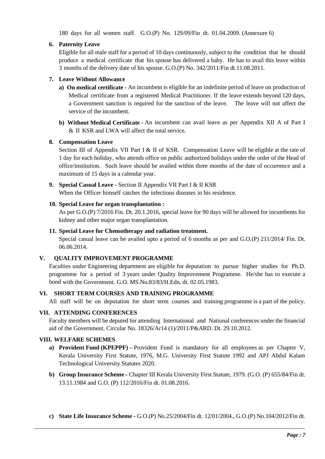180 days for all women staff. G.O.(P) No. 129/09/Fin dt. 01.04.2009. (Annexure 6)

#### **6. Paternity Leave**

Eligible for all male staff for a period of 10 days continuously, subject to the condition that he should produce a medical certificate that his spouse has delivered a baby. He has to avail this leave within 3 months of the delivery date of his spouse. G.O.(P) No. 342/2011/Fin dt.11.08.2011.

#### **7. Leave Without Allowance**

- **a) On medical certificate** An incumbent is eligible for an indefinite period of leave on production of Medical certificate from a registered Medical Practitioner. If the leave extends beyond 120 days, a Government sanction is required for the sanction of the leave. The leave will not affect the service of the incumbent.
- **b) Without Medical Certificate -** An incumbent can avail leave as per Appendix XII A of Part I & II KSR and LWA will affect the total service.

#### **8. Compensation Leave**

Section III of Appendix VII Part I & II of KSR. Compensation Leave will be eligible at the rate of 1 day for each holiday, who attends office on public authorized holidays under the order of the Head of office/institution. Such leave should be availed within three months of the date of occurrence and a maximum of 15 days in a calendar year.

**9. Special Casual Leave -** Section II Appendix VII Part I & II KSR

When the Officer himself catches the infectious diseases in his residence.

#### **10. Special Leave for organ transplantation :**

As per G.O.(P) 7/2016 Fin. Dt. 20.1.2016, special leave for 90 days will be allowed for incumbents for kidney and other major organ transplantation.

#### **11. Special Leave for Chemotherapy and radiation treatment.**

Special casual leave can be availed upto a period of 6 months as per and G.O.(P) 211/2014/ Fin. Dt. 06.06.2014.

#### **V. QUALITY IMPROVEMENT PROGRAMME**

Faculties under Engineering department are eligible for deputation to pursue higher studies for Ph.D. programme for a period of 3 years under Quality Improvement Programme. He/she has to execute a bond with the Government. G.O. MS.No.83/83/H.Edn. dt. 02.05.1983.

#### **VI. SHORT TERM COURSES AND TRAINING PROGRAMME**

All staff will be on deputation for short term courses and training programme is a part of the policy.

#### **VII. ATTENDING CONFERENCES**

Faculty members will be deputed for attending International and National conferences under the financial aid of the Government. Circular No. 18326/Ar14 (1)/2011/P&ARD. Dt. 29.10.2012.

#### **VIII. WELFARE SCHEMES**

- **a) Provident Fund (KPEPPF) –** Provident Fund is mandatory for all employees as per Chapter V, Kerala University First Statute, 1976, M.G. University First Statute 1992 and APJ Abdul Kalam Technological University Statutes 2020.
- **b) Group Insurance Scheme -** Chapter III Kerala University First Statute, 1979. (G.O. (P) 655/84/Fin dt. 13.11.1984 and G.O. (P) 112/2016/Fin dt. 01.08.2016.
- **c) State Life Insurance Scheme -** G.O.(P) No.25/2004/Fin dt. 12/01/2004., G.O.(P) No.104/2012/Fin dt.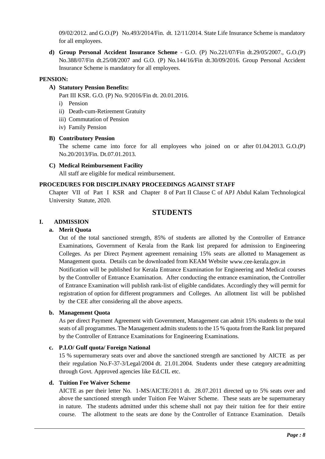09/02/2012. and G.O.(P) No.493/2014/Fin. dt. 12/11/2014. State Life Insurance Scheme is mandatory for all employees.

**d) Group Personal Accident Insurance Scheme** - G.O. (P) No.221/07/Fin dt.29/05/2007., G.O.(P) No.388/07/Fin dt.25/08/2007 and G.O. (P) No.144/16/Fin dt.30/09/2016. Group Personal Accident Insurance Scheme is mandatory for all employees.

#### **PENSION:**

#### **A) Statutory Pension Benefits:**

Part III KSR. G.O. (P) No. 9/2016/Fin dt. 20.01.2016.

- i) Pension
- ii) Death-cum-Retirement Gratuity
- iii) Commutation of Pension
- iv) Family Pension

#### **B) Contributory Pension**

The scheme came into force for all employees who joined on or after 01.04.2013. G.O.(P) No.20/2013/Fin. Dt.07.01.2013.

#### **C) Medical Reimbursement Facility**

All staff are eligible for medical reimbursement.

#### **PROCEDURES FOR DISCIPLINARY PROCEEDINGS AGAINST STAFF**

Chapter VII of Part I KSR and Chapter 8 of Part II Clause C of APJ Abdul Kalam Technological University Statute, 2020.

### **STUDENTS**

#### **I. ADMISSION**

#### **a. Merit Quota**

Out of the total sanctioned strength, 85% of students are allotted by the Controller of Entrance Examinations, Government of Kerala from the Rank list prepared for admission to Engineering Colleges. As per Direct Payment agreement remaining 15% seats are allotted to Management as Management quota. Details can be downloaded from KEAM Website [www.cee-kerala.gov.in](http://www.cee-kerala.gov.in/)

Notification will be published for Kerala Entrance Examination for Engineering and Medical courses by the Controller of Entrance Examination. After conducting the entrance examination, the Controller of Entrance Examination will publish rank-list of eligible candidates. Accordingly they will permit for registration of option for different programmers and Colleges. An allotment list will be published by the CEE after considering all the above aspects.

#### **b. Management Quota**

As per direct Payment Agreement with Government, Management can admit 15% students to the total seats of all programmes. The Management admits students to the 15 % quota from the Rank list prepared by the Controller of Entrance Examinations for Engineering Examinations.

#### **c. P.I.O/ Gulf quota/ Foreign National**

15 % supernumerary seats over and above the sanctioned strength are sanctioned by AICTE as per their regulation No.F-37-3/Legal/2004 dt. 21.01.2004. Students under these category are admitting through Govt. Approved agencies like Ed.CIL etc.

#### **d. Tuition Fee Waiver Scheme**

AICTE as per their letter No. 1-MS/AICTE/2011 dt. 28.07.2011 directed up to 5% seats over and above the sanctioned strength under Tuition Fee Waiver Scheme. These seats are be supernumerary in nature. The students admitted under this scheme shall not pay their tuition fee for their entire course. The allotment to the seats are done by the Controller of Entrance Examination. Details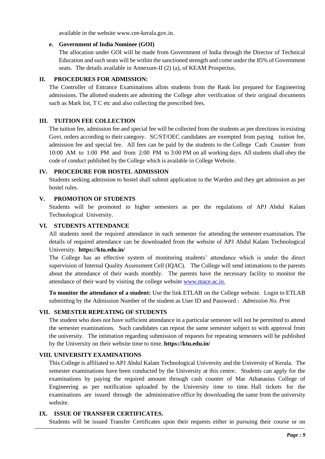available in the website [www.cee-kerala.gov.in.](http://www.cee-kerala.gov.in/)

#### **e. Government of India Nominee (GOI)**

The allocation under GOI will be made from Government of India through the Director of Technical Education and such seats will be within the sanctioned strength and come under the 85% of Government seats. The details available in Annexure-II (2) (a), of KEAM Prospectus.

#### **II. PROCEDURES FOR ADMISSION:**

The Controller of Entrance Examinations allots students from the Rank list prepared for Engineering admissions. The allotted students are admitting the College after verification of their original documents such as Mark list, T C etc and also collecting the prescribed fees.

#### **III. TUITION FEE COLLECTION**

The tuition fee, admission fee and special fee will be collected from the students as per directions in existing Govt. orders according to their category. SC/ST/OEC candidates are exempted from paying tuition fee, admission fee and special fee. All fees can be paid by the students to the College Cash Counter from 10:00 AM to 1:00 PM and from 2:00 PM to 3:00 PM on all working days. All students shall obey the code of conduct published by the College which is available in College Website.

#### **IV. PROCEDURE FOR HOSTEL ADMISSION**

Students seeking admission to hostel shall submit application to the Warden and they get admission as per hostel rules.

#### **V. PROMOTION OF STUDENTS**

Students will be promoted to higher semesters as per the regulations of APJ Abdul Kalam Technological University.

#### **VI. STUDENTS ATTENDANCE**

All students need the required attendance in each semester for attending the semester examination. The details of required attendance can be downloaded from the website of APJ Abdul Kalam Technological University. **https://ktu.edu.in/**

The College has an effective system of monitoring students' attendance which is under the direct supervision of Internal Quality Assessment Cell (IQAC). The College will send intimations to the parents about the attendance of their wards monthly. The parents have the necessary facility to monitor the attendance of their ward by visiting the college website [www.mace.ac.in.](http://www.mace.ac.in./)

**To monitor the attendance of a student:** Use the link ETLAB on the College website. Login to ETLAB submitting by the Admission Number of the student as User ID and Password : *Admission No. Prnt*

#### **VII. SEMESTER REPEATING OF STUDENTS**

The student who does not have sufficient attendance in a particular semester will not be permitted to attend the semester examinations. Such candidates can repeat the same semester subject to with approval from the university. The intimation regarding submission of requests for repeating semesters will be published by the University on their website time to time. **https://ktu.edu.in/**

#### **VIII. UNIVERSITY EXAMINATIONS**

This College is affiliated to APJ Abdul Kalam Technological University and the University of Kerala. The semester examinations have been conducted by the University at this centre. Students can apply for the examinations by paying the required amount through cash counter of Mar Athanasius College of Engineering as per notification uploaded by the University time to time. Hall tickets for the examinations are issued through the administrative office by downloading the same from the university website.

#### **IX. ISSUE OF TRANSFER CERTIFICATES.**

Students will be issued Transfer Certificates upon their requests either in pursuing their course or on